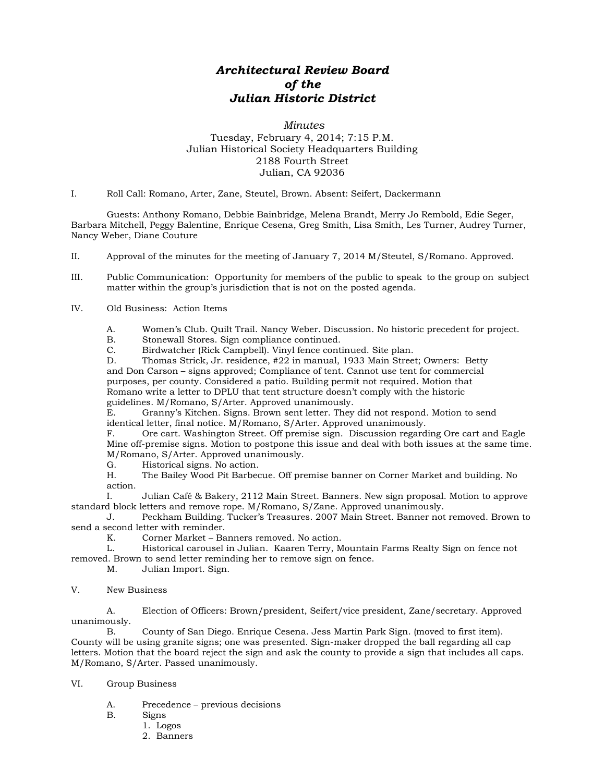## *Architectural Review Board of the Julian Historic District*

## *Minutes* Tuesday, February 4, 2014; 7:15 P.M. Julian Historical Society Headquarters Building 2188 Fourth Street Julian, CA 92036

I. Roll Call: Romano, Arter, Zane, Steutel, Brown. Absent: Seifert, Dackermann

Guests: Anthony Romano, Debbie Bainbridge, Melena Brandt, Merry Jo Rembold, Edie Seger, Barbara Mitchell, Peggy Balentine, Enrique Cesena, Greg Smith, Lisa Smith, Les Turner, Audrey Turner, Nancy Weber, Diane Couture

II. Approval of the minutes for the meeting of January 7, 2014 M/Steutel, S/Romano. Approved.

III. Public Communication: Opportunity for members of the public to speak to the group on subject matter within the group's jurisdiction that is not on the posted agenda.

## IV. Old Business: Action Items

A. Women's Club. Quilt Trail. Nancy Weber. Discussion. No historic precedent for project.

B. Stonewall Stores. Sign compliance continued.

C. Birdwatcher (Rick Campbell). Vinyl fence continued. Site plan.

D. Thomas Strick, Jr. residence, #22 in manual, 1933 Main Street; Owners: Betty and Don Carson – signs approved; Compliance of tent. Cannot use tent for commercial purposes, per county. Considered a patio. Building permit not required. Motion that Romano write a letter to DPLU that tent structure doesn't comply with the historic guidelines. M/Romano, S/Arter. Approved unanimously.<br>E. Granny's Kitchen. Signs. Brown sent letter. They

Granny's Kitchen. Signs. Brown sent letter. They did not respond. Motion to send identical letter, final notice. M/Romano, S/Arter. Approved unanimously.<br>F. Cre cart. Washington Street. Off premise sign. Discussion regard.

Ore cart. Washington Street. Off premise sign. Discussion regarding Ore cart and Eagle Mine off-premise signs. Motion to postpone this issue and deal with both issues at the same time. M/Romano, S/Arter. Approved unanimously.

G. Historical signs. No action.

H. The Bailey Wood Pit Barbecue. Off premise banner on Corner Market and building. No action.

I. Julian Café & Bakery, 2112 Main Street. Banners. New sign proposal. Motion to approve standard block letters and remove rope. M/Romano, S/Zane. Approved unanimously.

Peckham Building. Tucker's Treasures. 2007 Main Street. Banner not removed. Brown to send a second letter with reminder.<br>K. Corner Market – Ba

Corner Market – Banners removed. No action.

L. Historical carousel in Julian. Kaaren Terry, Mountain Farms Realty Sign on fence not removed. Brown to send letter reminding her to remove sign on fence.

M. Julian Import. Sign.

## V. New Business

A. Election of Officers: Brown/president, Seifert/vice president, Zane/secretary. Approved unanimously.<br>B.

County of San Diego. Enrique Cesena. Jess Martin Park Sign. (moved to first item). County will be using granite signs; one was presented. Sign-maker dropped the ball regarding all cap letters. Motion that the board reject the sign and ask the county to provide a sign that includes all caps. M/Romano, S/Arter. Passed unanimously.

VI. Group Business

- A. Precedence previous decisions
- B. Signs
	- 1. Logos
	- 2. Banners